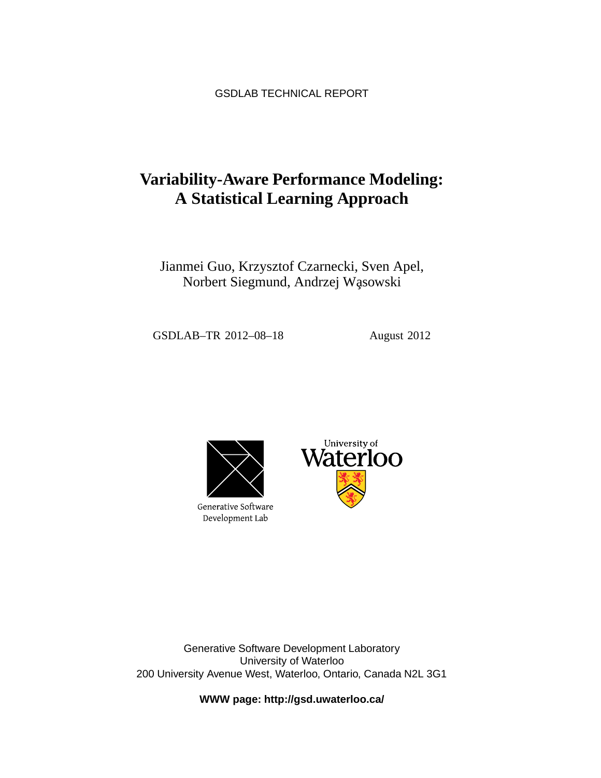GSDLAB TECHNICAL REPORT

# **Variability-Aware Performance Modeling: A Statistical Learning Approach**

Jianmei Guo, Krzysztof Czarnecki, Sven Apel, Norbert Siegmund, Andrzej Wąsowski

GSDLAB–TR 2012–08–18 August 2012



Generative Software Development Lab



Generative Software Development Laboratory University of Waterloo 200 University Avenue West, Waterloo, Ontario, Canada N2L 3G1

**WWW page: http://gsd.uwaterloo.ca/**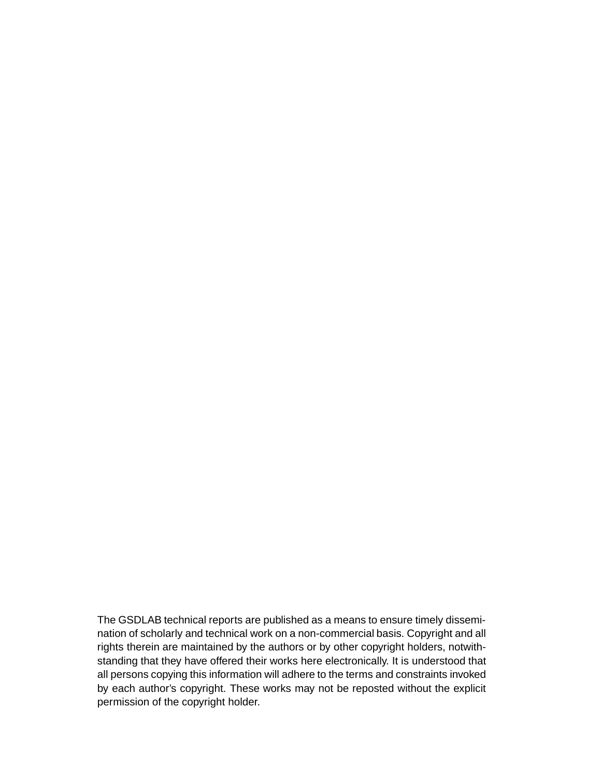The GSDLAB technical reports are published as a means to ensure timely dissemination of scholarly and technical work on a non-commercial basis. Copyright and all rights therein are maintained by the authors or by other copyright holders, notwithstanding that they have offered their works here electronically. It is understood that all persons copying this information will adhere to the terms and constraints invoked by each author's copyright. These works may not be reposted without the explicit permission of the copyright holder.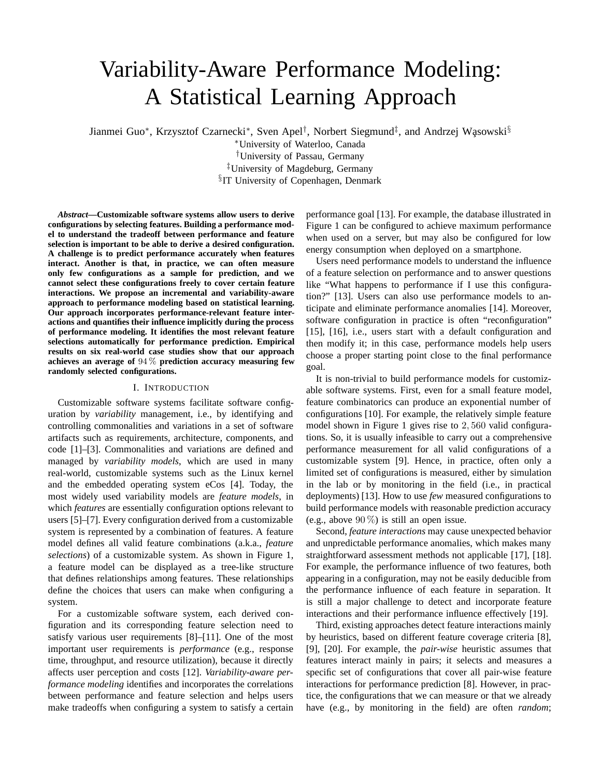# Variability-Aware Performance Modeling: A Statistical Learning Approach

Jianmei Guo<sup>∗</sup>, Krzysztof Czarnecki<sup>∗</sup>, Sven Apel<sup>†</sup>, Norbert Siegmund<sup>‡</sup>, and Andrzej Wasowski<sup>§</sup>

<sup>∗</sup>University of Waterloo, Canada †University of Passau, Germany ‡University of Magdeburg, Germany <sup>§</sup>IT University of Copenhagen, Denmark

*Abstract***—Customizable software systems allow users to derive configurations by selecting features. Building a performance model to understand the tradeoff between performance and feature selection is important to be able to derive a desired configuration. A challenge is to predict performance accurately when features interact. Another is that, in practice, we can often measure only few configurations as a sample for prediction, and we cannot select these configurations freely to cover certain feature interactions. We propose an incremental and variability-aware approach to performance modeling based on statistical learning. Our approach incorporates performance-relevant feature interactions and quantifies their influence implicitly during the process of performance modeling. It identifies the most relevant feature selections automatically for performance prediction. Empirical results on six real-world case studies show that our approach achieves an average of** 94 % **prediction accuracy measuring few randomly selected configurations.**

#### I. INTRODUCTION

Customizable software systems facilitate software configuration by *variability* management, i.e., by identifying and controlling commonalities and variations in a set of software artifacts such as requirements, architecture, components, and code [1]–[3]. Commonalities and variations are defined and managed by *variability models*, which are used in many real-world, customizable systems such as the Linux kernel and the embedded operating system eCos [4]. Today, the most widely used variability models are *feature models*, in which *features* are essentially configuration options relevant to users [5]–[7]. Every configuration derived from a customizable system is represented by a combination of features. A feature model defines all valid feature combinations (a.k.a., *feature selections*) of a customizable system. As shown in Figure 1, a feature model can be displayed as a tree-like structure that defines relationships among features. These relationships define the choices that users can make when configuring a system.

For a customizable software system, each derived configuration and its corresponding feature selection need to satisfy various user requirements [8]–[11]. One of the most important user requirements is *performance* (e.g., response time, throughput, and resource utilization), because it directly affects user perception and costs [12]. *Variability-aware performance modeling* identifies and incorporates the correlations between performance and feature selection and helps users make tradeoffs when configuring a system to satisfy a certain

performance goal [13]. For example, the database illustrated in Figure 1 can be configured to achieve maximum performance when used on a server, but may also be configured for low energy consumption when deployed on a smartphone.

Users need performance models to understand the influence of a feature selection on performance and to answer questions like "What happens to performance if I use this configuration?" [13]. Users can also use performance models to anticipate and eliminate performance anomalies [14]. Moreover, software configuration in practice is often "reconfiguration" [15], [16], i.e., users start with a default configuration and then modify it; in this case, performance models help users choose a proper starting point close to the final performance goal.

It is non-trivial to build performance models for customizable software systems. First, even for a small feature model, feature combinatorics can produce an exponential number of configurations [10]. For example, the relatively simple feature model shown in Figure 1 gives rise to 2, 560 valid configurations. So, it is usually infeasible to carry out a comprehensive performance measurement for all valid configurations of a customizable system [9]. Hence, in practice, often only a limited set of configurations is measured, either by simulation in the lab or by monitoring in the field (i.e., in practical deployments) [13]. How to use *few* measured configurations to build performance models with reasonable prediction accuracy (e.g., above  $90\%$ ) is still an open issue.

Second, *feature interactions* may cause unexpected behavior and unpredictable performance anomalies, which makes many straightforward assessment methods not applicable [17], [18]. For example, the performance influence of two features, both appearing in a configuration, may not be easily deducible from the performance influence of each feature in separation. It is still a major challenge to detect and incorporate feature interactions and their performance influence effectively [19].

Third, existing approaches detect feature interactions mainly by heuristics, based on different feature coverage criteria [8], [9], [20]. For example, the *pair-wise* heuristic assumes that features interact mainly in pairs; it selects and measures a specific set of configurations that cover all pair-wise feature interactions for performance prediction [8]. However, in practice, the configurations that we can measure or that we already have (e.g., by monitoring in the field) are often *random*;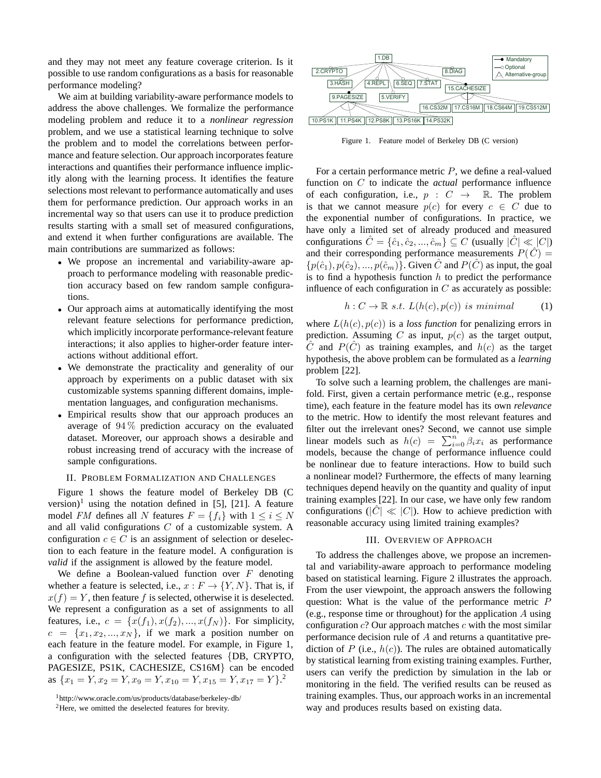and they may not meet any feature coverage criterion. Is it possible to use random configurations as a basis for reasonable performance modeling?

We aim at building variability-aware performance models to address the above challenges. We formalize the performance modeling problem and reduce it to a *nonlinear regression* problem, and we use a statistical learning technique to solve the problem and to model the correlations between performance and feature selection. Our approach incorporates feature interactions and quantifies their performance influence implicitly along with the learning process. It identifies the feature selections most relevant to performance automatically and uses them for performance prediction. Our approach works in an incremental way so that users can use it to produce prediction results starting with a small set of measured configurations, and extend it when further configurations are available. The main contributions are summarized as follows:

- We propose an incremental and variability-aware approach to performance modeling with reasonable prediction accuracy based on few random sample configurations.
- Our approach aims at automatically identifying the most relevant feature selections for performance prediction, which implicitly incorporate performance-relevant feature interactions; it also applies to higher-order feature interactions without additional effort.
- We demonstrate the practicality and generality of our approach by experiments on a public dataset with six customizable systems spanning different domains, implementation languages, and configuration mechanisms.
- Empirical results show that our approach produces an average of 94 % prediction accuracy on the evaluated dataset. Moreover, our approach shows a desirable and robust increasing trend of accuracy with the increase of sample configurations.

# II. PROBLEM FORMALIZATION AND CHALLENGES

Figure 1 shows the feature model of Berkeley DB (C version)<sup>1</sup> using the notation defined in [5], [21]. A feature model *FM* defines all N features  $F = \{f_i\}$  with  $1 \le i \le N$ and all valid configurations  $C$  of a customizable system. A configuration  $c \in C$  is an assignment of selection or deselection to each feature in the feature model. A configuration is *valid* if the assignment is allowed by the feature model.

We define a Boolean-valued function over  $F$  denoting whether a feature is selected, i.e.,  $x : F \to \{Y, N\}$ . That is, if  $x(f) = Y$ , then feature f is selected, otherwise it is deselected. We represent a configuration as a set of assignments to all features, i.e.,  $c = \{x(f_1), x(f_2), ..., x(f_N)\}\$ . For simplicity,  $c = \{x_1, x_2, ..., x_N\}$ , if we mark a position number on each feature in the feature model. For example, in Figure 1, a configuration with the selected features {DB, CRYPTO, PAGESIZE, PS1K, CACHESIZE, CS16M} can be encoded as  ${x_1 = Y, x_2 = Y, x_9 = Y, x_{10} = Y, x_{15} = Y, x_{17} = Y}$ .



Figure 1. Feature model of Berkeley DB (C version)

For a certain performance metric  $P$ , we define a real-valued function on C to indicate the *actual* performance influence of each configuration, i.e.,  $p : C \rightarrow \mathbb{R}$ . The problem is that we cannot measure  $p(c)$  for every  $c \in C$  due to the exponential number of configurations. In practice, we have only a limited set of already produced and measured configurations  $\hat{C} = \{\hat{c}_1, \hat{c}_2, ..., \hat{c}_m\} \subseteq C$  (usually  $|\hat{C}| \ll |C|$ ) and their corresponding performance measurements  $P(\hat{C}) =$  $\{p(\hat{c}_1), p(\hat{c}_2), ..., p(\hat{c}_m)\}\$ . Given  $\hat{C}$  and  $P(\hat{C})$  as input, the goal is to find a hypothesis function  $h$  to predict the performance influence of each configuration in  $C$  as accurately as possible:

$$
h: C \to \mathbb{R} \ s.t. \ L(h(c), p(c)) \ is \ minimal \tag{1}
$$

where  $L(h(c), p(c))$  is a *loss function* for penalizing errors in prediction. Assuming C as input,  $p(c)$  as the target output,  $\hat{C}$  and  $P(\hat{C})$  as training examples, and  $h(c)$  as the target hypothesis, the above problem can be formulated as a *learning* problem [22].

To solve such a learning problem, the challenges are manifold. First, given a certain performance metric (e.g., response time), each feature in the feature model has its own *relevance* to the metric. How to identify the most relevant features and filter out the irrelevant ones? Second, we cannot use simple linear models such as  $h(c) = \sum_{i=0}^{n} \beta_i x_i$  as performance models, because the change of performance influence could be nonlinear due to feature interactions. How to build such a nonlinear model? Furthermore, the effects of many learning techniques depend heavily on the quantity and quality of input training examples [22]. In our case, we have only few random configurations ( $|C| \ll |C|$ ). How to achieve prediction with reasonable accuracy using limited training examples?

#### III. OVERVIEW OF APPROACH

To address the challenges above, we propose an incremental and variability-aware approach to performance modeling based on statistical learning. Figure 2 illustrates the approach. From the user viewpoint, the approach answers the following question: What is the value of the performance metric P (e.g., response time or throughout) for the application  $A$  using configuration  $c$ ? Our approach matches  $c$  with the most similar performance decision rule of A and returns a quantitative prediction of  $P$  (i.e.,  $h(c)$ ). The rules are obtained automatically by statistical learning from existing training examples. Further, users can verify the prediction by simulation in the lab or monitoring in the field. The verified results can be reused as training examples. Thus, our approach works in an incremental way and produces results based on existing data.

<sup>1</sup>http://www.oracle.com/us/products/database/berkeley-db/

<sup>2</sup>Here, we omitted the deselected features for brevity.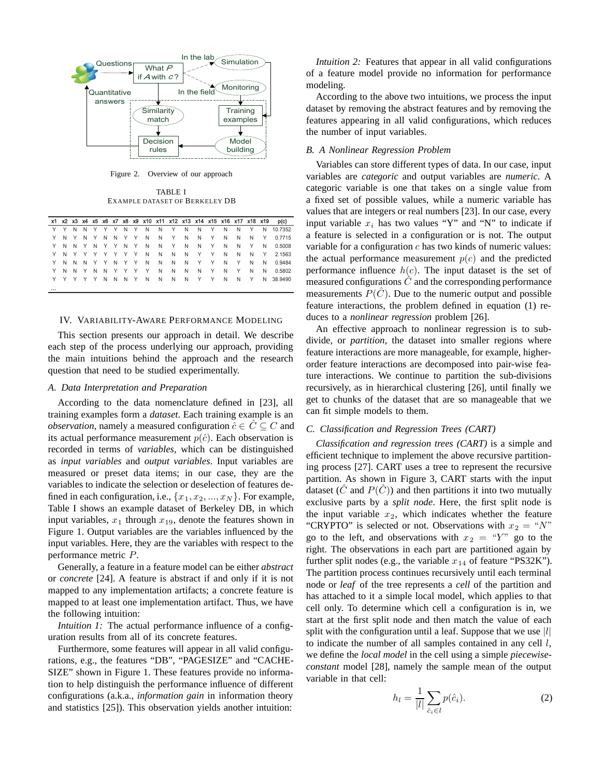

Figure 2. Overview of our approach

TABLE I EXAMPLE DATASET OF BERKELEY DB

|  |  |  |  |                     |  |  |  |  | x1 x2 x3 x4 x5 x6 x7 x8 x9 x10 x11 x12 x13 x14 x15 x16 x17 x18 x19 p(c) |
|--|--|--|--|---------------------|--|--|--|--|-------------------------------------------------------------------------|
|  |  |  |  |                     |  |  |  |  | Y Y N N Y Y Y N Y N N Y N N Y N N Y N 10.7352                           |
|  |  |  |  |                     |  |  |  |  | Y N Y N Y N N Y Y N N Y N N N N Y 0.7715                                |
|  |  |  |  |                     |  |  |  |  | Y N N Y N Y Y N Y N N Y N N Y N N Y N 0.5008                            |
|  |  |  |  |                     |  |  |  |  | Y N Y Y Y Y Y Y N N N N Y Y N N N Y 2.1563                              |
|  |  |  |  |                     |  |  |  |  | Y N N N Y Y N Y Y N N N N Y Y N Y N N 0.9484                            |
|  |  |  |  | Y N N Y N N Y Y Y Y |  |  |  |  | N N N N Y N Y N N 0.5802                                                |
|  |  |  |  |                     |  |  |  |  | Y Y Y Y Y N N N Y N N N N Y Y N N Y N 38.9490                           |
|  |  |  |  |                     |  |  |  |  |                                                                         |

#### IV. VARIABILITY-AWARE PERFORMANCE MODELING

This section presents our approach in detail. We describe each step of the process underlying our approach, providing the main intuitions behind the approach and the research question that need to be studied experimentally.

#### *A. Data Interpretation and Preparation*

According to the data nomenclature defined in [23], all training examples form a *dataset*. Each training example is an *observation*, namely a measured configuration  $\hat{c} \in \hat{C} \subseteq C$  and its actual performance measurement  $p(\hat{c})$ . Each observation is recorded in terms of *variables*, which can be distinguished as *input variables* and *output variables*. Input variables are measured or preset data items; in our case, they are the variables to indicate the selection or deselection of features defined in each configuration, i.e.,  $\{x_1, x_2, ..., x_N\}$ . For example, Table I shows an example dataset of Berkeley DB, in which input variables,  $x_1$  through  $x_{19}$ , denote the features shown in Figure 1. Output variables are the variables influenced by the input variables. Here, they are the variables with respect to the performance metric P.

Generally, a feature in a feature model can be either *abstract* or *concrete* [24]. A feature is abstract if and only if it is not mapped to any implementation artifacts; a concrete feature is mapped to at least one implementation artifact. Thus, we have the following intuition:

*Intuition 1:* The actual performance influence of a configuration results from all of its concrete features.

Furthermore, some features will appear in all valid configurations, e.g., the features "DB", "PAGESIZE" and "CACHE-SIZE" shown in Figure 1. These features provide no information to help distinguish the performance influence of different configurations (a.k.a., *information gain* in information theory and statistics [25]). This observation yields another intuition:

*Intuition 2:* Features that appear in all valid configurations of a feature model provide no information for performance modeling.

According to the above two intuitions, we process the input dataset by removing the abstract features and by removing the features appearing in all valid configurations, which reduces the number of input variables.

# *B. A Nonlinear Regression Problem*

Variables can store different types of data. In our case, input variables are *categoric* and output variables are *numeric*. A categoric variable is one that takes on a single value from a fixed set of possible values, while a numeric variable has values that are integers or real numbers [23]. In our case, every input variable  $x_i$  has two values "Y" and "N" to indicate if a feature is selected in a configuration or is not. The output variable for a configuration  $c$  has two kinds of numeric values: the actual performance measurement  $p(c)$  and the predicted performance influence  $h(c)$ . The input dataset is the set of measured configurations  $\hat{C}$  and the corresponding performance measurements  $P(\tilde{C})$ . Due to the numeric output and possible feature interactions, the problem defined in equation (1) reduces to a *nonlinear regression* problem [26].

An effective approach to nonlinear regression is to subdivide, or *partition*, the dataset into smaller regions where feature interactions are more manageable, for example, higherorder feature interactions are decomposed into pair-wise feature interactions. We continue to partition the sub-divisions recursively, as in hierarchical clustering [26], until finally we get to chunks of the dataset that are so manageable that we can fit simple models to them.

# *C. Classification and Regression Trees (CART)*

*Classification and regression trees (CART)* is a simple and efficient technique to implement the above recursive partitioning process [27]. CART uses a tree to represent the recursive partition. As shown in Figure 3, CART starts with the input dataset ( $\hat{C}$  and  $P(\hat{C})$ ) and then partitions it into two mutually exclusive parts by a *split node*. Here, the first split node is the input variable  $x_2$ , which indicates whether the feature "CRYPTO" is selected or not. Observations with  $x_2 = "N"$ go to the left, and observations with  $x_2 = "Y"$  go to the right. The observations in each part are partitioned again by further split nodes (e.g., the variable  $x_{14}$  of feature "PS32K"). The partition process continues recursively until each terminal node or *leaf* of the tree represents a *cell* of the partition and has attached to it a simple local model, which applies to that cell only. To determine which cell a configuration is in, we start at the first split node and then match the value of each split with the configuration until a leaf. Suppose that we use  $|l|$ to indicate the number of all samples contained in any cell  $l$ , we define the *local model* in the cell using a simple *piecewiseconstant* model [28], namely the sample mean of the output variable in that cell:

$$
h_l = \frac{1}{|l|} \sum_{\hat{c}_i \in l} p(\hat{c}_i).
$$
 (2)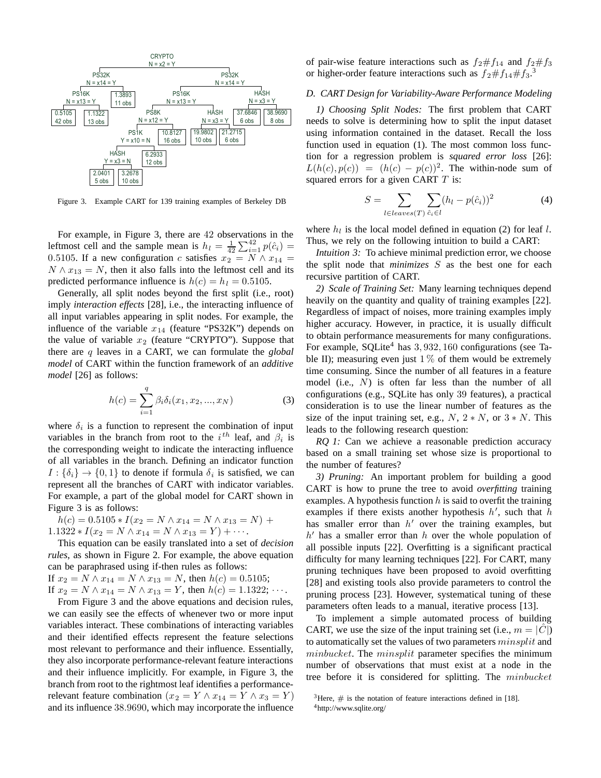

Figure 3. Example CART for 139 training examples of Berkeley DB

For example, in Figure 3, there are 42 observations in the leftmost cell and the sample mean is  $h_l = \frac{1}{42} \sum_{i=1}^{42} p(\hat{c}_i)$ 0.5105. If a new configuration c satisfies  $x_2 = N \wedge x_{14} =$  $N \wedge x_{13} = N$ , then it also falls into the leftmost cell and its predicted performance influence is  $h(c) = h_l = 0.5105$ .

Generally, all split nodes beyond the first split (i.e., root) imply *interaction effects* [28], i.e., the interacting influence of all input variables appearing in split nodes. For example, the influence of the variable  $x_{14}$  (feature "PS32K") depends on the value of variable  $x_2$  (feature "CRYPTO"). Suppose that there are q leaves in a CART, we can formulate the *global model* of CART within the function framework of an *additive model* [26] as follows:

$$
h(c) = \sum_{i=1}^{q} \beta_i \delta_i(x_1, x_2, ..., x_N)
$$
 (3)

where  $\delta_i$  is a function to represent the combination of input variables in the branch from root to the  $i^{th}$  leaf, and  $\beta_i$  is the corresponding weight to indicate the interacting influence of all variables in the branch. Defining an indicator function  $I: {\delta_i} \rightarrow {0, 1}$  to denote if formula  $\delta_i$  is satisfied, we can represent all the branches of CART with indicator variables. For example, a part of the global model for CART shown in Figure 3 is as follows:

$$
h(c) = 0.5105 * I(x_2 = N \wedge x_{14} = N \wedge x_{13} = N) + 1.1322 * I(x_2 = N \wedge x_{14} = N \wedge x_{13} = Y) + \cdots.
$$

This equation can be easily translated into a set of *decision rules*, as shown in Figure 2. For example, the above equation can be paraphrased using if-then rules as follows: If  $x_2 = N \wedge x_{14} = N \wedge x_{13} = N$ , then  $h(c) = 0.5105$ ; If  $x_2 = N \wedge x_{14} = N \wedge x_{13} = Y$ , then  $h(c) = 1.1322$ ;  $\cdots$ .

From Figure 3 and the above equations and decision rules, we can easily see the effects of whenever two or more input variables interact. These combinations of interacting variables and their identified effects represent the feature selections most relevant to performance and their influence. Essentially, they also incorporate performance-relevant feature interactions and their influence implicitly. For example, in Figure 3, the branch from root to the rightmost leaf identifies a performancerelevant feature combination ( $x_2 = Y \wedge x_{14} = Y \wedge x_3 = Y$ ) and its influence 38.9690, which may incorporate the influence

of pair-wise feature interactions such as  $f_2 \# f_{14}$  and  $f_2 \# f_3$ or higher-order feature interactions such as  $f_2 \# f_{14} \# f_3$ .<sup>3</sup>

#### *D. CART Design for Variability-Aware Performance Modeling*

*1) Choosing Split Nodes:* The first problem that CART needs to solve is determining how to split the input dataset using information contained in the dataset. Recall the loss function used in equation (1). The most common loss function for a regression problem is *squared error loss* [26]:  $L(h(c), p(c)) = (h(c) - p(c))^2$ . The within-node sum of squared errors for a given CART  $T$  is:

$$
S = \sum_{l \in leaves(T)} \sum_{\hat{c}_i \in l} (h_l - p(\hat{c}_i))^2
$$
 (4)

where  $h_l$  is the local model defined in equation (2) for leaf  $l$ . Thus, we rely on the following intuition to build a CART:

*Intuition 3:* To achieve minimal prediction error, we choose the split node that *minimizes* S as the best one for each recursive partition of CART.

*2) Scale of Training Set:* Many learning techniques depend heavily on the quantity and quality of training examples [22]. Regardless of impact of noises, more training examples imply higher accuracy. However, in practice, it is usually difficult to obtain performance measurements for many configurations. For example, SOLite<sup>4</sup> has  $3,932,160$  configurations (see Table II); measuring even just  $1\%$  of them would be extremely time consuming. Since the number of all features in a feature model (i.e., N) is often far less than the number of all configurations (e.g., SQLite has only 39 features), a practical consideration is to use the linear number of features as the size of the input training set, e.g.,  $N$ ,  $2*N$ , or  $3*N$ . This leads to the following research question:

*RQ 1:* Can we achieve a reasonable prediction accuracy based on a small training set whose size is proportional to the number of features?

*3) Pruning:* An important problem for building a good CART is how to prune the tree to avoid *overfitting* training examples. A hypothesis function  $h$  is said to overfit the training examples if there exists another hypothesis  $h'$ , such that  $h$ has smaller error than  $h'$  over the training examples, but  $h'$  has a smaller error than h over the whole population of all possible inputs [22]. Overfitting is a significant practical difficulty for many learning techniques [22]. For CART, many pruning techniques have been proposed to avoid overfitting [28] and existing tools also provide parameters to control the pruning process [23]. However, systematical tuning of these parameters often leads to a manual, iterative process [13].

To implement a simple automated process of building CART, we use the size of the input training set (i.e.,  $m = |C|$ ) to automatically set the values of two parameters  $minsplit$  and  $minbucket$ . The  $minsplit$  parameter specifies the minimum number of observations that must exist at a node in the tree before it is considered for splitting. The minbucket

<sup>&</sup>lt;sup>3</sup>Here,  $\#$  is the notation of feature interactions defined in [18]. 4http://www.sqlite.org/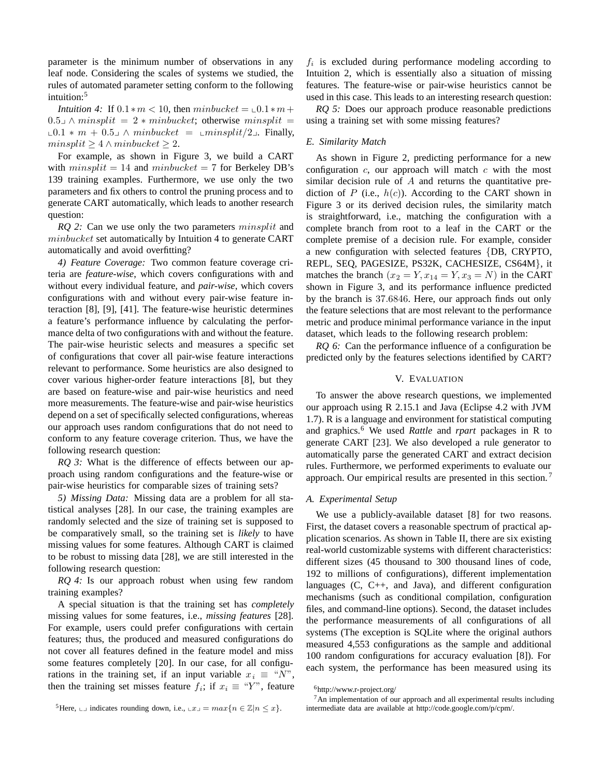parameter is the minimum number of observations in any leaf node. Considering the scales of systems we studied, the rules of automated parameter setting conform to the following intuition:<sup>5</sup>

*Intuition 4*: If  $0.1 * m < 10$ , then  $minbucket = \mathcal{L}0.1 * m +$  $0.5\Box \wedge minsplit = 2 * minbucket;$  otherwise  $minsplit =$  $\text{\textsterling}0.1 * m + 0.5$  ∧ minbucket =  $\text{\textsterling}minsplit/2$  . Finally,  $minsplit \geq 4 \land minbucket \geq 2.$ 

For example, as shown in Figure 3, we build a CART with  $minsplit = 14$  and  $minbucket = 7$  for Berkeley DB's 139 training examples. Furthermore, we use only the two parameters and fix others to control the pruning process and to generate CART automatically, which leads to another research question:

*RQ 2:* Can we use only the two parameters *minsplit* and minbucket set automatically by Intuition 4 to generate CART automatically and avoid overfitting?

*4) Feature Coverage:* Two common feature coverage criteria are *feature-wise*, which covers configurations with and without every individual feature, and *pair-wise*, which covers configurations with and without every pair-wise feature interaction [8], [9], [41]. The feature-wise heuristic determines a feature's performance influence by calculating the performance delta of two configurations with and without the feature. The pair-wise heuristic selects and measures a specific set of configurations that cover all pair-wise feature interactions relevant to performance. Some heuristics are also designed to cover various higher-order feature interactions [8], but they are based on feature-wise and pair-wise heuristics and need more measurements. The feature-wise and pair-wise heuristics depend on a set of specifically selected configurations, whereas our approach uses random configurations that do not need to conform to any feature coverage criterion. Thus, we have the following research question:

*RQ 3:* What is the difference of effects between our approach using random configurations and the feature-wise or pair-wise heuristics for comparable sizes of training sets?

*5) Missing Data:* Missing data are a problem for all statistical analyses [28]. In our case, the training examples are randomly selected and the size of training set is supposed to be comparatively small, so the training set is *likely* to have missing values for some features. Although CART is claimed to be robust to missing data [28], we are still interested in the following research question:

*RQ 4:* Is our approach robust when using few random training examples?

A special situation is that the training set has *completely* missing values for some features, i.e., *missing features* [28]. For example, users could prefer configurations with certain features; thus, the produced and measured configurations do not cover all features defined in the feature model and miss some features completely [20]. In our case, for all configurations in the training set, if an input variable  $x_i \equiv "N"$ , then the training set misses feature  $f_i$ ; if  $x_i \equiv "Y"$ , feature

f*<sup>i</sup>* is excluded during performance modeling according to Intuition 2, which is essentially also a situation of missing features. The feature-wise or pair-wise heuristics cannot be used in this case. This leads to an interesting research question:

*RQ 5:* Does our approach produce reasonable predictions using a training set with some missing features?

#### *E. Similarity Match*

As shown in Figure 2, predicting performance for a new configuration  $c$ , our approach will match  $c$  with the most similar decision rule of  $A$  and returns the quantitative prediction of P (i.e.,  $h(c)$ ). According to the CART shown in Figure 3 or its derived decision rules, the similarity match is straightforward, i.e., matching the configuration with a complete branch from root to a leaf in the CART or the complete premise of a decision rule. For example, consider a new configuration with selected features {DB, CRYPTO, REPL, SEQ, PAGESIZE, PS32K, CACHESIZE, CS64M}, it matches the branch  $(x_2 = Y, x_{14} = Y, x_3 = N)$  in the CART shown in Figure 3, and its performance influence predicted by the branch is 37.6846. Here, our approach finds out only the feature selections that are most relevant to the performance metric and produce minimal performance variance in the input dataset, which leads to the following research problem:

*RQ 6:* Can the performance influence of a configuration be predicted only by the features selections identified by CART?

# V. EVALUATION

To answer the above research questions, we implemented our approach using R 2.15.1 and Java (Eclipse 4.2 with JVM 1.7). R is a language and environment for statistical computing and graphics.<sup>6</sup> We used *Rattle* and *rpart* packages in R to generate CART [23]. We also developed a rule generator to automatically parse the generated CART and extract decision rules. Furthermore, we performed experiments to evaluate our approach. Our empirical results are presented in this section. <sup>7</sup>

#### *A. Experimental Setup*

We use a publicly-available dataset [8] for two reasons. First, the dataset covers a reasonable spectrum of practical application scenarios. As shown in Table II, there are six existing real-world customizable systems with different characteristics: different sizes (45 thousand to 300 thousand lines of code, 192 to millions of configurations), different implementation languages  $(C, C++, and Java)$ , and different configuration mechanisms (such as conditional compilation, configuration files, and command-line options). Second, the dataset includes the performance measurements of all configurations of all systems (The exception is SQLite where the original authors measured 4,553 configurations as the sample and additional 100 random configurations for accuracy evaluation [8]). For each system, the performance has been measured using its

 $^5$ Here,  $\Box$  indicates rounding down, i.e.,  $\Box x \Box = max\{n \in \mathbb{Z} | n \leq x\}.$ 

<sup>6</sup>http://www.r-project.org/

 $7An$  implementation of our approach and all experimental results including intermediate data are available at http://code.google.com/p/cpm/.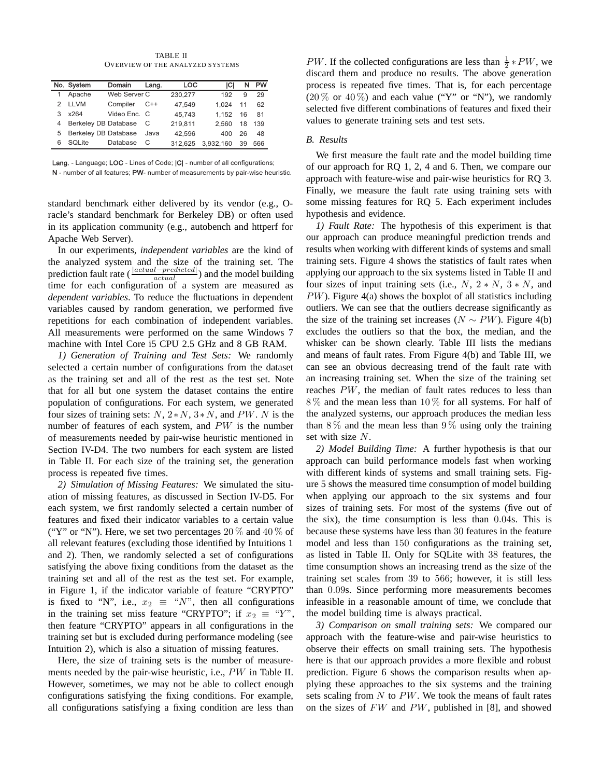TABLE II OVERVIEW OF THE ANALYZED SYSTEMS

|   | No. System                  | Domain       | Lang. | <b>LOC</b> | ICI       | N  | PW  |
|---|-----------------------------|--------------|-------|------------|-----------|----|-----|
|   | Apache                      | Web Server C |       | 230.277    | 192       | 9  | 29  |
| 2 | <b>LLVM</b>                 | Compiler     | $C++$ | 47.549     | 1.024     | 11 | 62  |
| 3 | x264                        | Video Enc. C |       | 45.743     | 1.152     | 16 | 81  |
| 4 | Berkeley DB Database        |              | - C   | 219.811    | 2.560     | 18 | 139 |
| 5 | <b>Berkeley DB Database</b> |              | Java  | 42.596     | 400       | 26 | 48  |
| 6 | <b>SOLite</b>               | Database     |       | 312.625    | 3,932,160 | 39 | 566 |

Lang. - Language; LOC - Lines of Code; |C| - number of all configurations;

N - number of all features; PW- number of measurements by pair-wise heuristic.

standard benchmark either delivered by its vendor (e.g., Oracle's standard benchmark for Berkeley DB) or often used in its application community (e.g., autobench and httperf for Apache Web Server).

In our experiments, *independent variables* are the kind of the analyzed system and the size of the training set. The prediction fault rate ( <sup>|</sup>*actual*−*predicted*<sup>|</sup> *actual* ) and the model building time for each configuration of a system are measured as *dependent variables*. To reduce the fluctuations in dependent variables caused by random generation, we performed five repetitions for each combination of independent variables. All measurements were performed on the same Windows 7 machine with Intel Core i5 CPU 2.5 GHz and 8 GB RAM.

*1) Generation of Training and Test Sets:* We randomly selected a certain number of configurations from the dataset as the training set and all of the rest as the test set. Note that for all but one system the dataset contains the entire population of configurations. For each system, we generated four sizes of training sets:  $N$ ,  $2*N$ ,  $3*N$ , and PW. N is the number of features of each system, and PW is the number of measurements needed by pair-wise heuristic mentioned in Section IV-D4. The two numbers for each system are listed in Table II. For each size of the training set, the generation process is repeated five times.

*2) Simulation of Missing Features:* We simulated the situation of missing features, as discussed in Section IV-D5. For each system, we first randomly selected a certain number of features and fixed their indicator variables to a certain value ("Y" or "N"). Here, we set two percentages  $20\%$  and  $40\%$  of all relevant features (excluding those identified by Intuitions 1 and 2). Then, we randomly selected a set of configurations satisfying the above fixing conditions from the dataset as the training set and all of the rest as the test set. For example, in Figure 1, if the indicator variable of feature "CRYPTO" is fixed to "N", i.e.,  $x_2 \equiv "N"$ , then all configurations in the training set miss feature "CRYPTO"; if  $x_2 \equiv "Y"$ , then feature "CRYPTO" appears in all configurations in the training set but is excluded during performance modeling (see Intuition 2), which is also a situation of missing features.

Here, the size of training sets is the number of measurements needed by the pair-wise heuristic, i.e., PW in Table II. However, sometimes, we may not be able to collect enough configurations satisfying the fixing conditions. For example, all configurations satisfying a fixing condition are less than

*PW*. If the collected configurations are less than  $\frac{1}{2} * PW$ , we discard them and produce no results. The above generation process is repeated five times. That is, for each percentage  $(20\% \text{ or } 40\%)$  and each value ("Y" or "N"), we randomly selected five different combinations of features and fixed their values to generate training sets and test sets.

## *B. Results*

We first measure the fault rate and the model building time of our approach for RQ 1, 2, 4 and 6. Then, we compare our approach with feature-wise and pair-wise heuristics for RQ 3. Finally, we measure the fault rate using training sets with some missing features for RQ 5. Each experiment includes hypothesis and evidence.

*1) Fault Rate:* The hypothesis of this experiment is that our approach can produce meaningful prediction trends and results when working with different kinds of systems and small training sets. Figure 4 shows the statistics of fault rates when applying our approach to the six systems listed in Table II and four sizes of input training sets (i.e.,  $N$ ,  $2*N$ ,  $3*N$ , and PW). Figure 4(a) shows the boxplot of all statistics including outliers. We can see that the outliers decrease significantly as the size of the training set increases ( $N \sim PW$ ). Figure 4(b) excludes the outliers so that the box, the median, and the whisker can be shown clearly. Table III lists the medians and means of fault rates. From Figure 4(b) and Table III, we can see an obvious decreasing trend of the fault rate with an increasing training set. When the size of the training set reaches PW, the median of fault rates reduces to less than 8 % and the mean less than 10 % for all systems. For half of the analyzed systems, our approach produces the median less than  $8\%$  and the mean less than  $9\%$  using only the training set with size N.

*2) Model Building Time:* A further hypothesis is that our approach can build performance models fast when working with different kinds of systems and small training sets. Figure 5 shows the measured time consumption of model building when applying our approach to the six systems and four sizes of training sets. For most of the systems (five out of the six), the time consumption is less than 0.04s. This is because these systems have less than 30 features in the feature model and less than 150 configurations as the training set, as listed in Table II. Only for SQLite with 38 features, the time consumption shows an increasing trend as the size of the training set scales from 39 to 566; however, it is still less than 0.09s. Since performing more measurements becomes infeasible in a reasonable amount of time, we conclude that the model building time is always practical.

*3) Comparison on small training sets:* We compared our approach with the feature-wise and pair-wise heuristics to observe their effects on small training sets. The hypothesis here is that our approach provides a more flexible and robust prediction. Figure 6 shows the comparison results when applying these approaches to the six systems and the training sets scaling from  $N$  to  $PW$ . We took the means of fault rates on the sizes of FW and PW, published in [8], and showed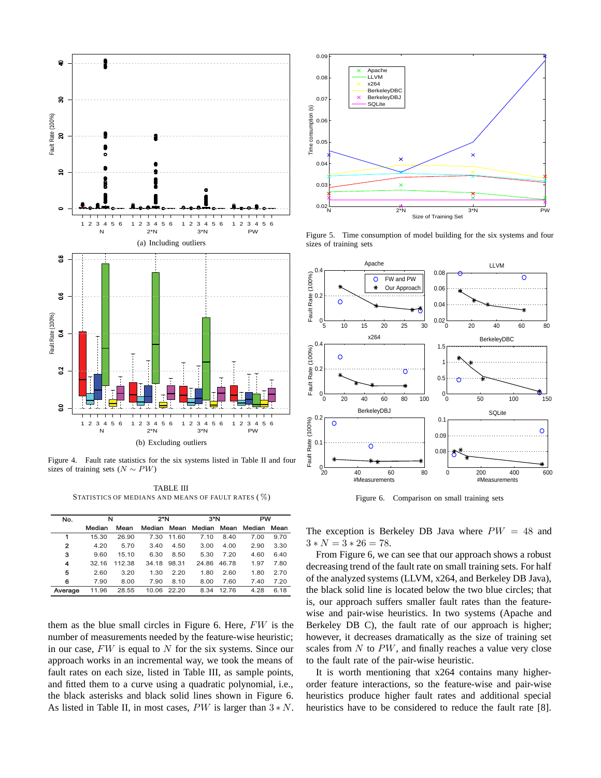

Figure 4. Fault rate statistics for the six systems listed in Table II and four sizes of training sets ( $N \sim PW$ )

TABLE III STATISTICS OF MEDIANS AND MEANS OF FAULT RATES ( %)

| No.            | N      |        | 2*N         |       | $3*$ N |       | <b>PW</b> |      |  |
|----------------|--------|--------|-------------|-------|--------|-------|-----------|------|--|
|                | Median | Mean   | Median Mean |       | Median | Mean  | Median    | Mean |  |
| 1              | 15.30  | 26.90  | 7.30        | 11.60 | 7.10   | 8.40  | 7.00      | 9.70 |  |
| $\overline{2}$ | 4.20   | 5.70   | 3.40        | 4.50  | 3.00   | 4.00  | 2.90      | 3.30 |  |
| з              | 9.60   | 15.10  | 6.30        | 8.50  | 5.30   | 7.20  | 4.60      | 6.40 |  |
| 4              | 32.16  | 112.38 | 34.18       | 98.31 | 24.86  | 46.78 | 1.97      | 7.80 |  |
| 5              | 2.60   | 3.20   | 1.30        | 2.20  | 1.80   | 2.60  | 1.80      | 2.70 |  |
| 6              | 7.90   | 8.00   | 7.90        | 8.10  | 8.00   | 7.60  | 7.40      | 7.20 |  |
| Average        | 11.96  | 28.55  | 10.06       | 22.20 | 8.34   | 12.76 | 4.28      | 6.18 |  |

them as the blue small circles in Figure 6. Here, FW is the number of measurements needed by the feature-wise heuristic; in our case,  $FW$  is equal to  $N$  for the six systems. Since our approach works in an incremental way, we took the means of fault rates on each size, listed in Table III, as sample points, and fitted them to a curve using a quadratic polynomial, i.e., the black asterisks and black solid lines shown in Figure 6. As listed in Table II, in most cases,  $PW$  is larger than  $3*N$ .



Figure 5. Time consumption of model building for the six systems and four sizes of training sets



Figure 6. Comparison on small training sets

The exception is Berkeley DB Java where  $PW = 48$  and  $3*N=3*26=78.$ 

From Figure 6, we can see that our approach shows a robust decreasing trend of the fault rate on small training sets. For half of the analyzed systems (LLVM, x264, and Berkeley DB Java), the black solid line is located below the two blue circles; that is, our approach suffers smaller fault rates than the featurewise and pair-wise heuristics. In two systems (Apache and Berkeley DB C), the fault rate of our approach is higher; however, it decreases dramatically as the size of training set scales from  $N$  to  $PW$ , and finally reaches a value very close to the fault rate of the pair-wise heuristic.

It is worth mentioning that x264 contains many higherorder feature interactions, so the feature-wise and pair-wise heuristics produce higher fault rates and additional special heuristics have to be considered to reduce the fault rate [8].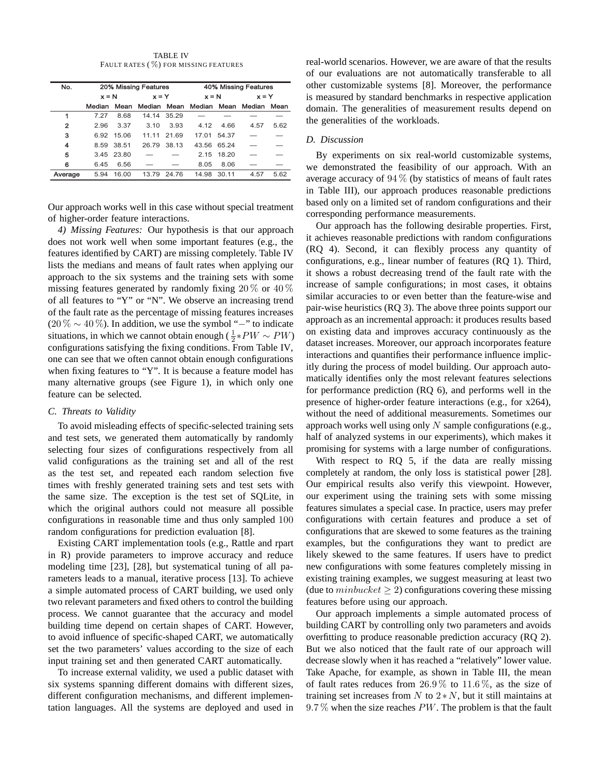TABLE IV FAULT RATES ( %) FOR MISSING FEATURES

| No.     |         |            | 20% Missing Features |             | 40% Missing Features           |       |         |      |  |  |
|---------|---------|------------|----------------------|-------------|--------------------------------|-------|---------|------|--|--|
|         | $x = N$ |            | $x = Y$              |             | $x = N$                        |       | $x = Y$ |      |  |  |
|         | Median  | Mean       |                      |             | Median Mean Median Mean Median |       |         | Mean |  |  |
| 1       | 7.27    | 8.68       |                      | 14.14 35.29 |                                |       |         |      |  |  |
| 2       | 2.96    | 3.37       | 3.10                 | 3.93        | 4.12                           | 4.66  | 4.57    | 5.62 |  |  |
| з       |         | 6.92 15.06 | 11.11                | 21.69       | 17.01                          | 54.37 |         |      |  |  |
| 4       |         | 8.59 38.51 |                      | 26.79 38.13 | 43.56 65.24                    |       |         |      |  |  |
| 5       |         | 3.45 23.80 |                      |             | 2.15                           | 18.20 |         |      |  |  |
| 6       | 6.45    | 6.56       |                      |             | 8.05                           | 8.06  |         |      |  |  |
| Average | 594     | 16.00      | 13.79                | 2476        | 14.98                          | 30.11 | 4.57    | 5.62 |  |  |

Our approach works well in this case without special treatment of higher-order feature interactions.

*4) Missing Features:* Our hypothesis is that our approach does not work well when some important features (e.g., the features identified by CART) are missing completely. Table IV lists the medians and means of fault rates when applying our approach to the six systems and the training sets with some missing features generated by randomly fixing  $20\%$  or  $40\%$ of all features to "Y" or "N". We observe an increasing trend of the fault rate as the percentage of missing features increases  $(20\% \sim 40\%)$ . In addition, we use the symbol "−" to indicate situations, in which we cannot obtain enough ( $\frac{1}{2}$ \* $PW \sim PW$ ) configurations satisfying the fixing conditions. From Table IV, one can see that we often cannot obtain enough configurations when fixing features to "Y". It is because a feature model has many alternative groups (see Figure 1), in which only one feature can be selected.

#### *C. Threats to Validity*

To avoid misleading effects of specific-selected training sets and test sets, we generated them automatically by randomly selecting four sizes of configurations respectively from all valid configurations as the training set and all of the rest as the test set, and repeated each random selection five times with freshly generated training sets and test sets with the same size. The exception is the test set of SQLite, in which the original authors could not measure all possible configurations in reasonable time and thus only sampled 100 random configurations for prediction evaluation [8].

Existing CART implementation tools (e.g., Rattle and rpart in R) provide parameters to improve accuracy and reduce modeling time [23], [28], but systematical tuning of all parameters leads to a manual, iterative process [13]. To achieve a simple automated process of CART building, we used only two relevant parameters and fixed others to control the building process. We cannot guarantee that the accuracy and model building time depend on certain shapes of CART. However, to avoid influence of specific-shaped CART, we automatically set the two parameters' values according to the size of each input training set and then generated CART automatically.

To increase external validity, we used a public dataset with six systems spanning different domains with different sizes, different configuration mechanisms, and different implementation languages. All the systems are deployed and used in

real-world scenarios. However, we are aware of that the results of our evaluations are not automatically transferable to all other customizable systems [8]. Moreover, the performance is measured by standard benchmarks in respective application domain. The generalities of measurement results depend on the generalities of the workloads.

# *D. Discussion*

By experiments on six real-world customizable systems, we demonstrated the feasibility of our approach. With an average accuracy of  $94\%$  (by statistics of means of fault rates in Table III), our approach produces reasonable predictions based only on a limited set of random configurations and their corresponding performance measurements.

Our approach has the following desirable properties. First, it achieves reasonable predictions with random configurations (RQ 4). Second, it can flexibly process any quantity of configurations, e.g., linear number of features (RQ 1). Third, it shows a robust decreasing trend of the fault rate with the increase of sample configurations; in most cases, it obtains similar accuracies to or even better than the feature-wise and pair-wise heuristics (RQ 3). The above three points support our approach as an incremental approach: it produces results based on existing data and improves accuracy continuously as the dataset increases. Moreover, our approach incorporates feature interactions and quantifies their performance influence implicitly during the process of model building. Our approach automatically identifies only the most relevant features selections for performance prediction (RQ 6), and performs well in the presence of higher-order feature interactions (e.g., for x264), without the need of additional measurements. Sometimes our approach works well using only  $N$  sample configurations (e.g., half of analyzed systems in our experiments), which makes it promising for systems with a large number of configurations.

With respect to RQ 5, if the data are really missing completely at random, the only loss is statistical power [28]. Our empirical results also verify this viewpoint. However, our experiment using the training sets with some missing features simulates a special case. In practice, users may prefer configurations with certain features and produce a set of configurations that are skewed to some features as the training examples, but the configurations they want to predict are likely skewed to the same features. If users have to predict new configurations with some features completely missing in existing training examples, we suggest measuring at least two (due to  $minbucket \geq 2)$  configurations covering these missing features before using our approach.

Our approach implements a simple automated process of building CART by controlling only two parameters and avoids overfitting to produce reasonable prediction accuracy (RQ 2). But we also noticed that the fault rate of our approach will decrease slowly when it has reached a "relatively" lower value. Take Apache, for example, as shown in Table III, the mean of fault rates reduces from  $26.9\%$  to  $11.6\%$ , as the size of training set increases from  $N$  to  $2*N$ , but it still maintains at  $9.7\%$  when the size reaches PW. The problem is that the fault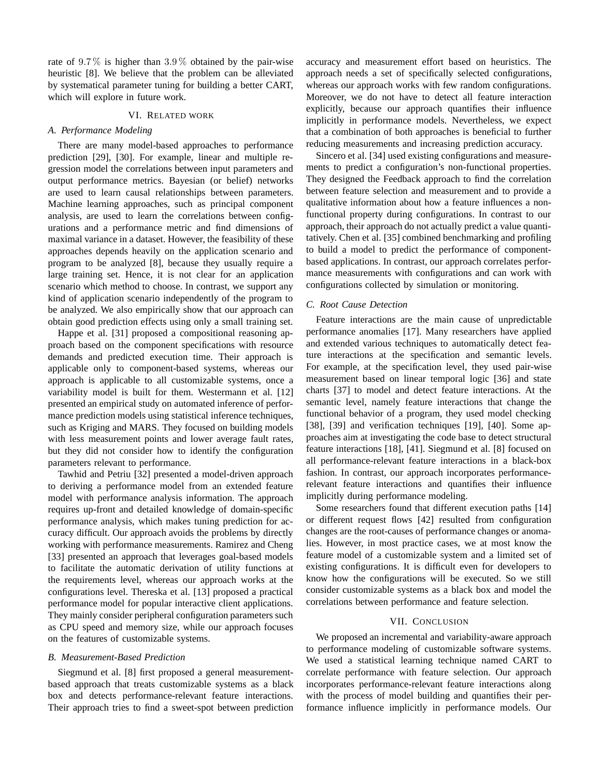rate of  $9.7\%$  is higher than  $3.9\%$  obtained by the pair-wise heuristic [8]. We believe that the problem can be alleviated by systematical parameter tuning for building a better CART, which will explore in future work.

# VI. RELATED WORK

# *A. Performance Modeling*

There are many model-based approaches to performance prediction [29], [30]. For example, linear and multiple regression model the correlations between input parameters and output performance metrics. Bayesian (or belief) networks are used to learn causal relationships between parameters. Machine learning approaches, such as principal component analysis, are used to learn the correlations between configurations and a performance metric and find dimensions of maximal variance in a dataset. However, the feasibility of these approaches depends heavily on the application scenario and program to be analyzed [8], because they usually require a large training set. Hence, it is not clear for an application scenario which method to choose. In contrast, we support any kind of application scenario independently of the program to be analyzed. We also empirically show that our approach can obtain good prediction effects using only a small training set.

Happe et al. [31] proposed a compositional reasoning approach based on the component specifications with resource demands and predicted execution time. Their approach is applicable only to component-based systems, whereas our approach is applicable to all customizable systems, once a variability model is built for them. Westermann et al. [12] presented an empirical study on automated inference of performance prediction models using statistical inference techniques, such as Kriging and MARS. They focused on building models with less measurement points and lower average fault rates, but they did not consider how to identify the configuration parameters relevant to performance.

Tawhid and Petriu [32] presented a model-driven approach to deriving a performance model from an extended feature model with performance analysis information. The approach requires up-front and detailed knowledge of domain-specific performance analysis, which makes tuning prediction for accuracy difficult. Our approach avoids the problems by directly working with performance measurements. Ramirez and Cheng [33] presented an approach that leverages goal-based models to facilitate the automatic derivation of utility functions at the requirements level, whereas our approach works at the configurations level. Thereska et al. [13] proposed a practical performance model for popular interactive client applications. They mainly consider peripheral configuration parameters such as CPU speed and memory size, while our approach focuses on the features of customizable systems.

# *B. Measurement-Based Prediction*

Siegmund et al. [8] first proposed a general measurementbased approach that treats customizable systems as a black box and detects performance-relevant feature interactions. Their approach tries to find a sweet-spot between prediction accuracy and measurement effort based on heuristics. The approach needs a set of specifically selected configurations, whereas our approach works with few random configurations. Moreover, we do not have to detect all feature interaction explicitly, because our approach quantifies their influence implicitly in performance models. Nevertheless, we expect that a combination of both approaches is beneficial to further reducing measurements and increasing prediction accuracy.

Sincero et al. [34] used existing configurations and measurements to predict a configuration's non-functional properties. They designed the Feedback approach to find the correlation between feature selection and measurement and to provide a qualitative information about how a feature influences a nonfunctional property during configurations. In contrast to our approach, their approach do not actually predict a value quantitatively. Chen et al. [35] combined benchmarking and profiling to build a model to predict the performance of componentbased applications. In contrast, our approach correlates performance measurements with configurations and can work with configurations collected by simulation or monitoring.

# *C. Root Cause Detection*

Feature interactions are the main cause of unpredictable performance anomalies [17]. Many researchers have applied and extended various techniques to automatically detect feature interactions at the specification and semantic levels. For example, at the specification level, they used pair-wise measurement based on linear temporal logic [36] and state charts [37] to model and detect feature interactions. At the semantic level, namely feature interactions that change the functional behavior of a program, they used model checking [38], [39] and verification techniques [19], [40]. Some approaches aim at investigating the code base to detect structural feature interactions [18], [41]. Siegmund et al. [8] focused on all performance-relevant feature interactions in a black-box fashion. In contrast, our approach incorporates performancerelevant feature interactions and quantifies their influence implicitly during performance modeling.

Some researchers found that different execution paths [14] or different request flows [42] resulted from configuration changes are the root-causes of performance changes or anomalies. However, in most practice cases, we at most know the feature model of a customizable system and a limited set of existing configurations. It is difficult even for developers to know how the configurations will be executed. So we still consider customizable systems as a black box and model the correlations between performance and feature selection.

# VII. CONCLUSION

We proposed an incremental and variability-aware approach to performance modeling of customizable software systems. We used a statistical learning technique named CART to correlate performance with feature selection. Our approach incorporates performance-relevant feature interactions along with the process of model building and quantifies their performance influence implicitly in performance models. Our